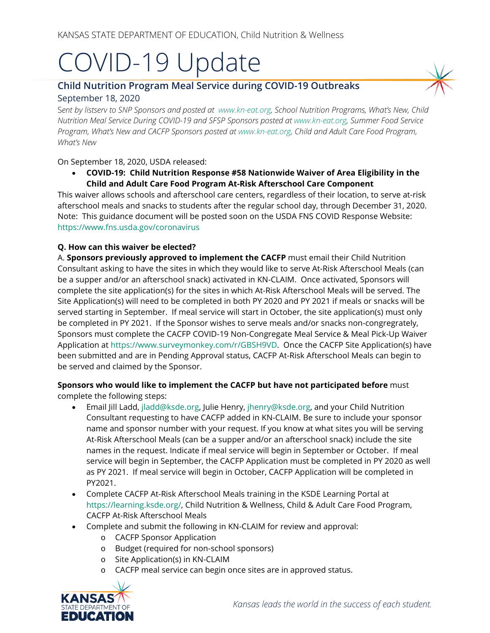# COVID-19 Update

## **Child Nutrition Program Meal Service during COVID-19 Outbreaks** September 18, 2020

S*ent by listserv to SNP Sponsors and posted at [www.kn-eat.org,](http://www.kn-eat.org/) School Nutrition Programs, What's New, Child Nutrition Meal Service During COVID-19 and SFSP Sponsors posted a[t www.kn-eat.org,](http://www.kn-eat.org/) Summer Food Service Program, What's New and CACFP Sponsors posted at [www.kn-eat.org,](http://www.kn-eat.org/) Child and Adult Care Food Program, What's New*

On September 18, 2020, USDA released:

• **COVID-19: Child Nutrition Response #58 Nationwide Waiver of Area Eligibility in the Child and Adult Care Food Program At-Risk Afterschool Care Component** 

This waiver allows schools and afterschool care centers, regardless of their location, to serve at-risk afterschool meals and snacks to students after the regular school day, through December 31, 2020. Note: This guidance document will be posted soon on the USDA FNS COVID Response Website: <https://www.fns.usda.gov/coronavirus>

### **Q. How can this waiver be elected?**

A. **Sponsors previously approved to implement the CACFP** must email their Child Nutrition Consultant asking to have the sites in which they would like to serve At-Risk Afterschool Meals (can be a supper and/or an afterschool snack) activated in KN-CLAIM. Once activated, Sponsors will complete the site application(s) for the sites in which At-Risk Afterschool Meals will be served. The Site Application(s) will need to be completed in both PY 2020 and PY 2021 if meals or snacks will be served starting in September. If meal service will start in October, the site application(s) must only be completed in PY 2021. If the Sponsor wishes to serve meals and/or snacks non-congregrately, Sponsors must complete the CACFP COVID-19 Non-Congregate Meal Service & Meal Pick-Up Waiver Application at [https://www.surveymonkey.com/r/GBSH9VD.](https://www.surveymonkey.com/r/GBSH9VD) Once the CACFP Site Application(s) have been submitted and are in Pending Approval status, CACFP At-Risk Afterschool Meals can begin to be served and claimed by the Sponsor.

### **Sponsors who would like to implement the CACFP but have not participated before** must complete the following steps:

- Email Jill Ladd, [jladd@ksde.org,](mailto:jladd@ksde.org) Julie Henry, [jhenry@ksde.org,](mailto:jhenry@ksde.org) and your Child Nutrition Consultant requesting to have CACFP added in KN-CLAIM. Be sure to include your sponsor name and sponsor number with your request. If you know at what sites you will be serving At-Risk Afterschool Meals (can be a supper and/or an afterschool snack) include the site names in the request. Indicate if meal service will begin in September or October. If meal service will begin in September, the CACFP Application must be completed in PY 2020 as well as PY 2021. If meal service will begin in October, CACFP Application will be completed in PY2021.
- Complete CACFP At-Risk Afterschool Meals training in the KSDE Learning Portal at [https://learning.ksde.org/,](https://learning.ksde.org/) Child Nutrition & Wellness, Child & Adult Care Food Program, CACFP At-Risk Afterschool Meals
- Complete and submit the following in KN-CLAIM for review and approval:
	- o CACFP Sponsor Application
	- o Budget (required for non-school sponsors)
	- o Site Application(s) in KN-CLAIM
	- o CACFP meal service can begin once sites are in approved status.